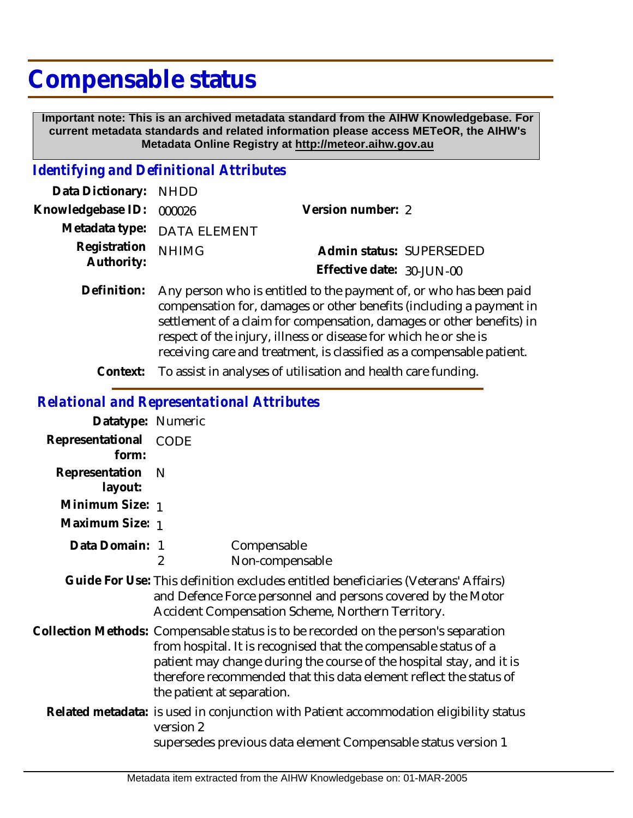## **Compensable status**

 **Important note: This is an archived metadata standard from the AIHW Knowledgebase. For current metadata standards and related information please access METeOR, the AIHW's Metadata Online Registry at http://meteor.aihw.gov.au**

## *Identifying and Definitional Attributes*

| Data Dictionary: NHDD            |                             |                           |  |
|----------------------------------|-----------------------------|---------------------------|--|
| Knowledgebase ID: 000026         |                             | Version number: 2         |  |
|                                  | Metadata type: DATA ELEMENT |                           |  |
| Registration NHIMG<br>Authority: |                             | Admin status: SUPERSEDED  |  |
|                                  |                             | Effective date: 30-JUN-00 |  |
|                                  |                             |                           |  |

- Definition: Any person who is entitled to the payment of, or who has been paid compensation for, damages or other benefits (including a payment in settlement of a claim for compensation, damages or other benefits) in respect of the injury, illness or disease for which he or she is receiving care and treatment, is classified as a compensable patient.
	- **Context:** To assist in analyses of utilisation and health care funding.

## *Relational and Representational Attributes*

| Datatype: Numeric         |                                                                                                                                                                                                                                                                                                                                     |  |
|---------------------------|-------------------------------------------------------------------------------------------------------------------------------------------------------------------------------------------------------------------------------------------------------------------------------------------------------------------------------------|--|
| Representational<br>form: | <b>CODE</b>                                                                                                                                                                                                                                                                                                                         |  |
| Representation<br>layout: | - N                                                                                                                                                                                                                                                                                                                                 |  |
| Minimum Size: 1           |                                                                                                                                                                                                                                                                                                                                     |  |
| Maximum Size: 1           |                                                                                                                                                                                                                                                                                                                                     |  |
| Data Domain: 1            | Compensable<br>$\overline{2}$<br>Non-compensable                                                                                                                                                                                                                                                                                    |  |
|                           | Guide For Use: This definition excludes entitled beneficiaries (Veterans' Affairs)<br>and Defence Force personnel and persons covered by the Motor<br>Accident Compensation Scheme, Northern Territory.                                                                                                                             |  |
|                           | Collection Methods: Compensable status is to be recorded on the person's separation<br>from hospital. It is recognised that the compensable status of a<br>patient may change during the course of the hospital stay, and it is<br>therefore recommended that this data element reflect the status of<br>the patient at separation. |  |
|                           | Related metadata: is used in conjunction with Patient accommodation eligibility status<br>version 2<br>supersedes previous data element Compensable status version 1                                                                                                                                                                |  |